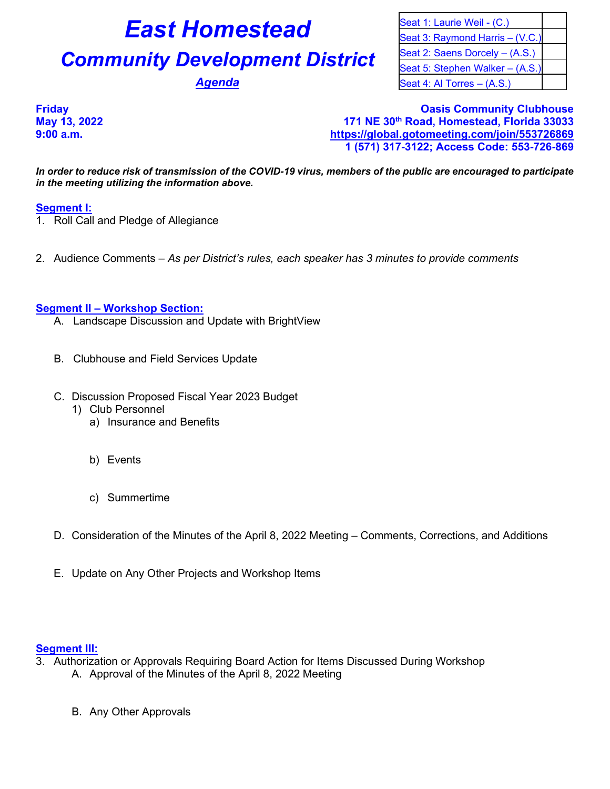# **East Homestead** Seat 1: Laurie Weil - (C.)

# **Community Development District** Seat 2: Saens Dorcely – (A.S.)

Seat 3: Raymond Harris – (V.C.) Seat 5: Stephen Walker – (A.S.) **Agenda** Seat 4: Al Torres – (A.S.)

**Friday Oasis Community Clubhouse May 13, 2022 171 NE 30th Road, Homestead, Florida 33033 9:00 a.m. <https://global.gotomeeting.com/join/553726869> 1 (571) 317-3122; Access Code: 553-726-869**

*In order to reduce risk of transmission of the COVID-19 virus, members of the public are encouraged to participate in the meeting utilizing the information above.*

## **Segment I:**

- 1. Roll Call and Pledge of Allegiance
- 2. Audience Comments *As per District's rules, each speaker has 3 minutes to provide comments*

### **Segment II – Workshop Section:**

- A. Landscape Discussion and Update with BrightView
- B. Clubhouse and Field Services Update
- C. Discussion Proposed Fiscal Year 2023 Budget
	- 1) Club Personnel
		- a) Insurance and Benefits
		- b) Events
		- c) Summertime
- D. Consideration of the Minutes of the April 8, 2022 Meeting Comments, Corrections, and Additions
- E. Update on Any Other Projects and Workshop Items

### **Segment III:**

- 3. Authorization or Approvals Requiring Board Action for Items Discussed During Workshop A. Approval of the Minutes of the April 8, 2022 Meeting
	- B. Any Other Approvals